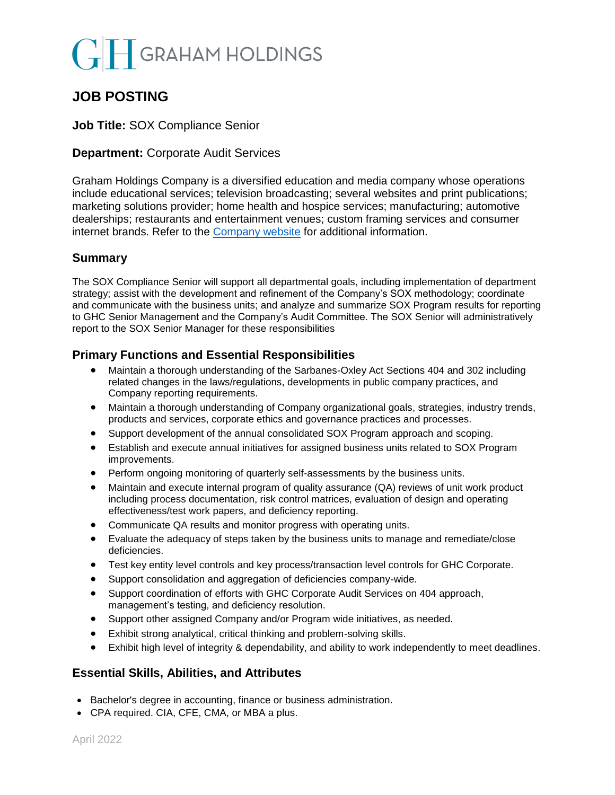# **GRAHAM HOLDINGS**

## **JOB POSTING**

#### **Job Title:** SOX Compliance Senior

#### **Department:** Corporate Audit Services

Graham Holdings Company is a diversified education and media company whose operations include educational services; television broadcasting; several websites and print publications; marketing solutions provider; home health and hospice services; manufacturing; automotive dealerships; restaurants and entertainment venues; custom framing services and consumer internet brands. Refer to the [Company website](mailto:https://www.ghco.com/) for additional information.

#### **Summary**

The SOX Compliance Senior will support all departmental goals, including implementation of department strategy; assist with the development and refinement of the Company's SOX methodology; coordinate and communicate with the business units; and analyze and summarize SOX Program results for reporting to GHC Senior Management and the Company's Audit Committee. The SOX Senior will administratively report to the SOX Senior Manager for these responsibilities

### **Primary Functions and Essential Responsibilities**

- Maintain a thorough understanding of the Sarbanes-Oxley Act Sections 404 and 302 including related changes in the laws/regulations, developments in public company practices, and Company reporting requirements.
- Maintain a thorough understanding of Company organizational goals, strategies, industry trends, products and services, corporate ethics and governance practices and processes.
- Support development of the annual consolidated SOX Program approach and scoping.
- Establish and execute annual initiatives for assigned business units related to SOX Program improvements.
- Perform ongoing monitoring of quarterly self-assessments by the business units.
- Maintain and execute internal program of quality assurance (QA) reviews of unit work product including process documentation, risk control matrices, evaluation of design and operating effectiveness/test work papers, and deficiency reporting.
- Communicate QA results and monitor progress with operating units.
- Evaluate the adequacy of steps taken by the business units to manage and remediate/close deficiencies.
- Test key entity level controls and key process/transaction level controls for GHC Corporate.
- Support consolidation and aggregation of deficiencies company-wide.
- Support coordination of efforts with GHC Corporate Audit Services on 404 approach, management's testing, and deficiency resolution.
- Support other assigned Company and/or Program wide initiatives, as needed.
- Exhibit strong analytical, critical thinking and problem-solving skills.
- Exhibit high level of integrity & dependability, and ability to work independently to meet deadlines.

### **Essential Skills, Abilities, and Attributes**

- Bachelor's degree in accounting, finance or business administration.
- CPA required. CIA, CFE, CMA, or MBA a plus.